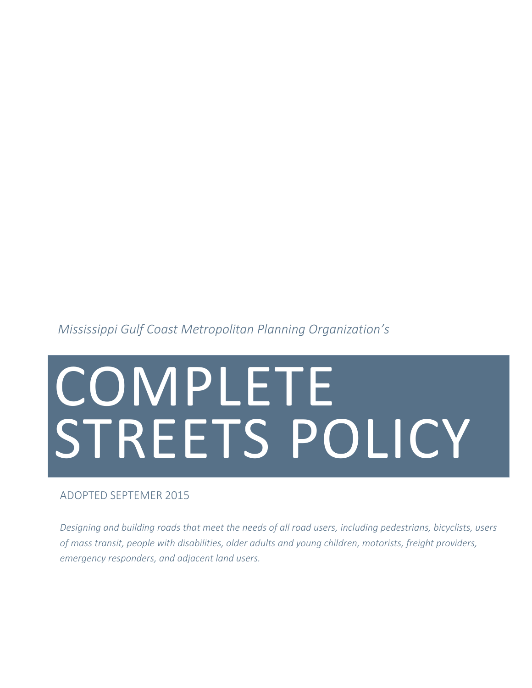*Mississippi Gulf Coast Metropolitan Planning Organization's*

# COMPLETE STREETS POLICY

#### ADOPTED SEPTEMER 2015

*Designing and building roads that meet the needs of all road users, including pedestrians, bicyclists, users of mass transit, people with disabilities, older adults and young children, motorists, freight providers, emergency responders, and adjacent land users.*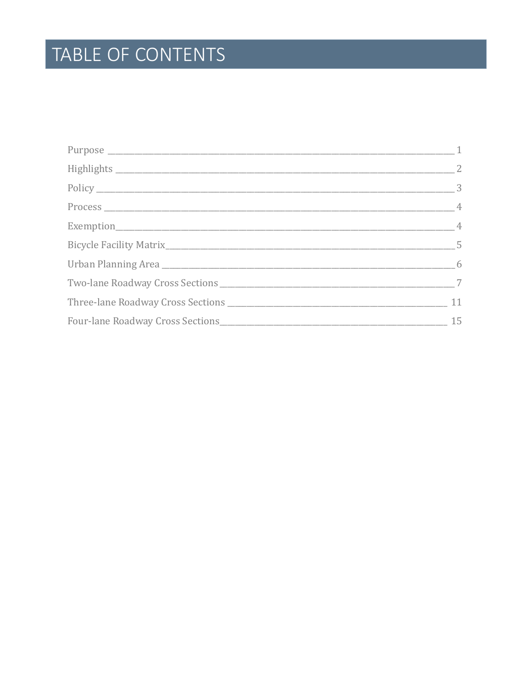# TABLE OF CONTENTS

| $\sim$ 2        |
|-----------------|
|                 |
|                 |
| $\overline{4}$  |
| $5\overline{)}$ |
|                 |
|                 |
|                 |
| 15              |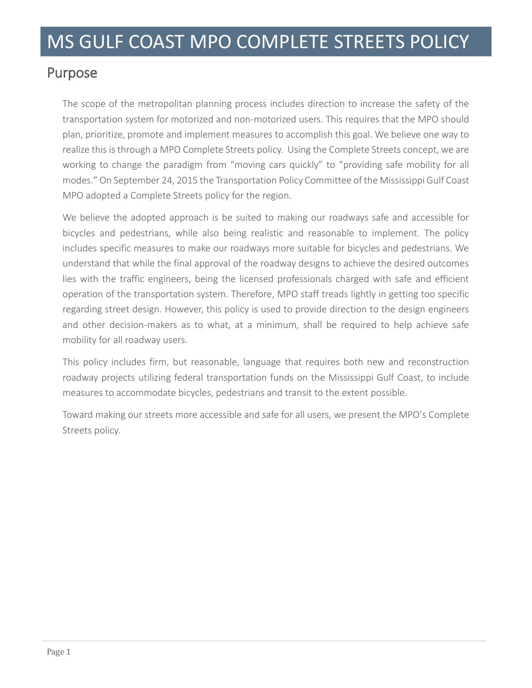## Purpose

The scope of the metropolitan planning process includes direction to increase the safety of the transportation system for motorized and non-motorized users. This requires that the MPO should plan, prioritize, promote and implement measures to accomplish this goal. We believe one way to realize this is through a MPO Complete Streets policy. Using the Complete Streets concept, we are working to change the paradigm from "moving cars quickly" to "providing safe mobility for all modes." On September 24, 2015 the Transportation Policy Committee of the Mississippi Gulf Coast MPO adopted a Complete Streets policy for the region.

We believe the adopted approach is be suited to making our roadways safe and accessible for bicycles and pedestrians, while also being realistic and reasonable to implement. The policy includes specific measures to make our roadways more suitable for bicycles and pedestrians. We understand that while the final approval of the roadway designs to achieve the desired outcomes lies with the traffic engineers, being the licensed professionals charged with safe and efficient operation of the transportation system. Therefore, MPO staff treads lightly in getting too specific regarding street design. However, this policy is used to provide direction to the design engineers and other decision-makers as to what, at a minimum, shall be required to help achieve safe mobility for all roadway users.

This policy includes firm, but reasonable, language that requires both new and reconstruction roadway projects utilizing federal transportation funds on the Mississippi Gulf Coast, to include measures to accommodate bicycles, pedestrians and transit to the extent possible.

Toward making our streets more accessible and safe for all users, we present the MPO's Complete Streets policy.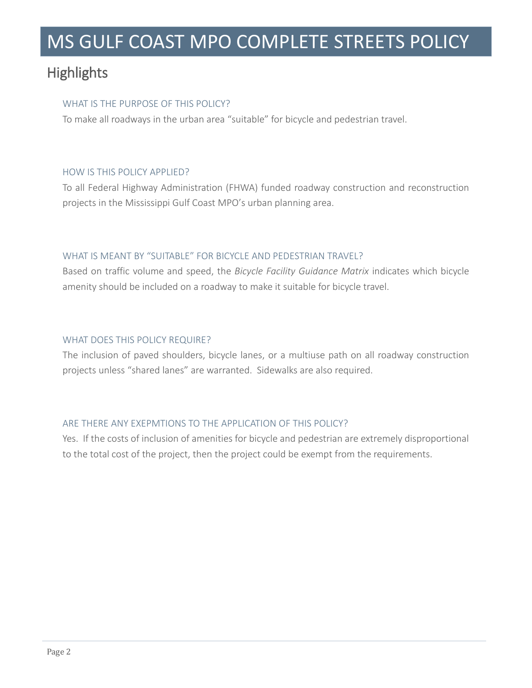## **Highlights**

#### WHAT IS THE PURPOSE OF THIS POLICY?

To make all roadways in the urban area "suitable" for bicycle and pedestrian travel.

#### HOW IS THIS POLICY APPLIED?

To all Federal Highway Administration (FHWA) funded roadway construction and reconstruction projects in the Mississippi Gulf Coast MPO's urban planning area.

#### WHAT IS MEANT BY "SUITABLE" FOR BICYCLE AND PEDESTRIAN TRAVEL?

Based on traffic volume and speed, the *Bicycle Facility Guidance Matrix* indicates which bicycle amenity should be included on a roadway to make it suitable for bicycle travel.

#### WHAT DOES THIS POLICY REQUIRE?

The inclusion of paved shoulders, bicycle lanes, or a multiuse path on all roadway construction projects unless "shared lanes" are warranted. Sidewalks are also required.

#### ARE THERE ANY EXEPMTIONS TO THE APPLICATION OF THIS POLICY?

Yes. If the costs of inclusion of amenities for bicycle and pedestrian are extremely disproportional to the total cost of the project, then the project could be exempt from the requirements.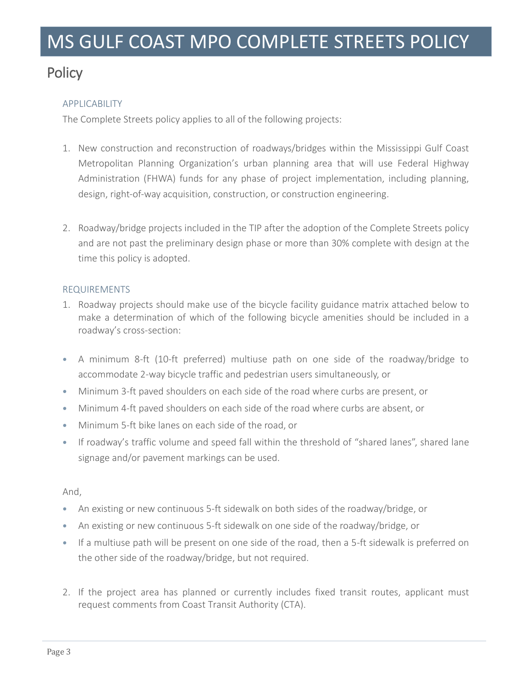## **Policy**

#### APPLICABILITY

The Complete Streets policy applies to all of the following projects:

- 1. New construction and reconstruction of roadways/bridges within the Mississippi Gulf Coast Metropolitan Planning Organization's urban planning area that will use Federal Highway Administration (FHWA) funds for any phase of project implementation, including planning, design, right-of-way acquisition, construction, or construction engineering.
- 2. Roadway/bridge projects included in the TIP after the adoption of the Complete Streets policy and are not past the preliminary design phase or more than 30% complete with design at the time this policy is adopted.

#### REQUIREMENTS

- 1. Roadway projects should make use of the bicycle facility guidance matrix attached below to make a determination of which of the following bicycle amenities should be included in a roadway's cross-section:
- A minimum 8-ft (10-ft preferred) multiuse path on one side of the roadway/bridge to accommodate 2-way bicycle traffic and pedestrian users simultaneously, or
- Minimum 3-ft paved shoulders on each side of the road where curbs are present, or
- Minimum 4-ft paved shoulders on each side of the road where curbs are absent, or
- Minimum 5-ft bike lanes on each side of the road, or
- If roadway's traffic volume and speed fall within the threshold of "shared lanes", shared lane signage and/or pavement markings can be used.

#### And,

- An existing or new continuous 5-ft sidewalk on both sides of the roadway/bridge, or
- An existing or new continuous 5-ft sidewalk on one side of the roadway/bridge, or
- If a multiuse path will be present on one side of the road, then a 5-ft sidewalk is preferred on the other side of the roadway/bridge, but not required.
- 2. If the project area has planned or currently includes fixed transit routes, applicant must request comments from Coast Transit Authority (CTA).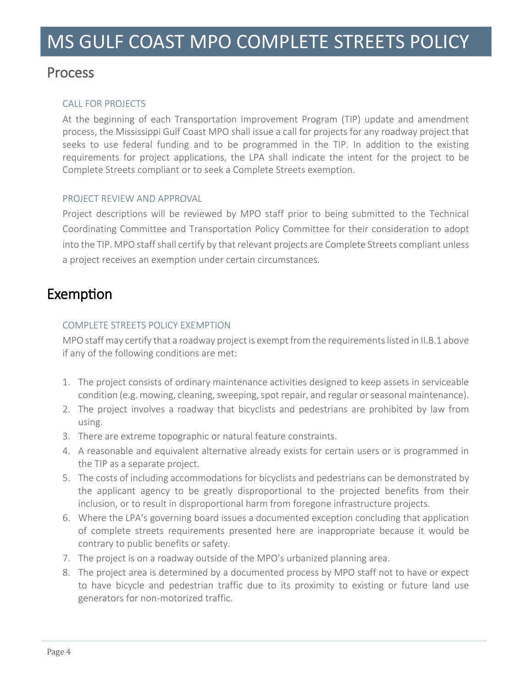### Process

#### CALL FOR PROJECTS

At the beginning of each Transportation Improvement Program (TIP) update and amendment process, the Mississippi Gulf Coast MPO shall issue a call for projects for any roadway project that seeks to use federal funding and to be programmed in the TIP. In addition to the existing requirements for project applications, the LPA shall indicate the intent for the project to be Complete Streets compliant or to seek a Complete Streets exemption.

#### PROJECT REVIEW AND APPROVAL

Project descriptions will be reviewed by MPO staff prior to being submitted to the Technical Coordinating Committee and Transportation Policy Committee for their consideration to adopt into the TIP. MPO staff shall certify by that relevant projects are Complete Streets compliant unless a project receives an exemption under certain circumstances.

## Exemption

#### COMPLETE STREETS POLICY EXEMPTION

MPO staff may certify that a roadway project is exempt from the requirements listed in II.B.1 above if any of the following conditions are met:

- 1. The project consists of ordinary maintenance activities designed to keep assets in serviceable condition (e.g. mowing, cleaning, sweeping, spot repair, and regular or seasonal maintenance).
- 2. The project involves a roadway that bicyclists and pedestrians are prohibited by law from using.
- 3. There are extreme topographic or natural feature constraints.
- 4. A reasonable and equivalent alternative already exists for certain users or is programmed in the TIP as a separate project.
- 5. The costs of including accommodations for bicyclists and pedestrians can be demonstrated by the applicant agency to be greatly disproportional to the projected benefits from their inclusion, or to result in disproportional harm from foregone infrastructure projects.
- 6. Where the LPA's governing board issues a documented exception concluding that application of complete streets requirements presented here are inappropriate because it would be contrary to public benefits or safety.
- 7. The project is on a roadway outside of the MPO's urbanized planning area.
- 8. The project area is determined by a documented process by MPO staff not to have or expect to have bicycle and pedestrian traffic due to its proximity to existing or future land use generators for non-motorized traffic.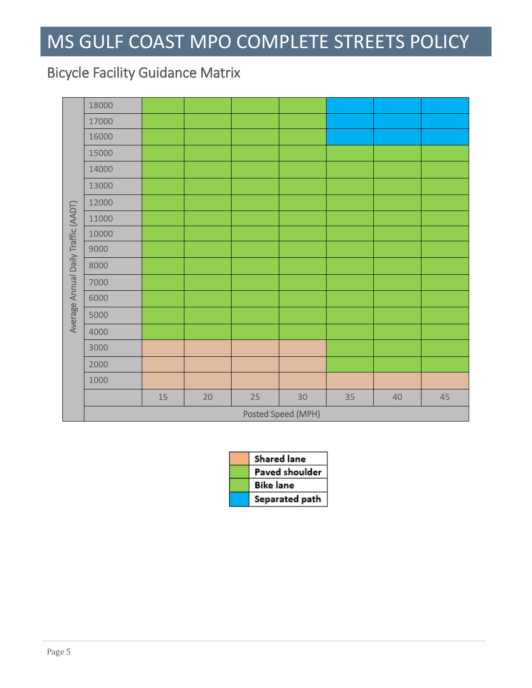## Bicycle Facility Guidance Matrix

|                                     | 18000              |        |        |    |    |    |        |    |
|-------------------------------------|--------------------|--------|--------|----|----|----|--------|----|
| Average Annual Daily Traffic (AADT) | 17000              |        |        |    |    |    |        |    |
|                                     | 16000              |        |        |    |    |    |        |    |
|                                     | 15000              |        |        |    |    |    |        |    |
|                                     | 14000              |        |        |    |    |    |        |    |
|                                     | 13000              |        |        |    |    |    |        |    |
|                                     | 12000              |        |        |    |    |    |        |    |
|                                     | 11000              |        |        |    |    |    |        |    |
|                                     | 10000              |        |        |    |    |    |        |    |
|                                     | 9000               |        |        |    |    |    |        |    |
|                                     | 8000               |        |        |    |    |    |        |    |
|                                     | 7000               |        |        |    |    |    |        |    |
|                                     | 6000               |        |        |    |    |    |        |    |
|                                     | 5000               |        |        |    |    |    |        |    |
|                                     | 4000               |        |        |    |    |    |        |    |
|                                     | 3000               |        |        |    |    |    |        |    |
|                                     | 2000               |        |        |    |    |    |        |    |
|                                     | 1000               |        |        |    |    |    |        |    |
|                                     |                    | $15\,$ | $20\,$ | 25 | 30 | 35 | $40\,$ | 45 |
|                                     | Posted Speed (MPH) |        |        |    |    |    |        |    |

| Shared lane    |
|----------------|
| Paved shoulder |
| Bike lane      |
| Separated path |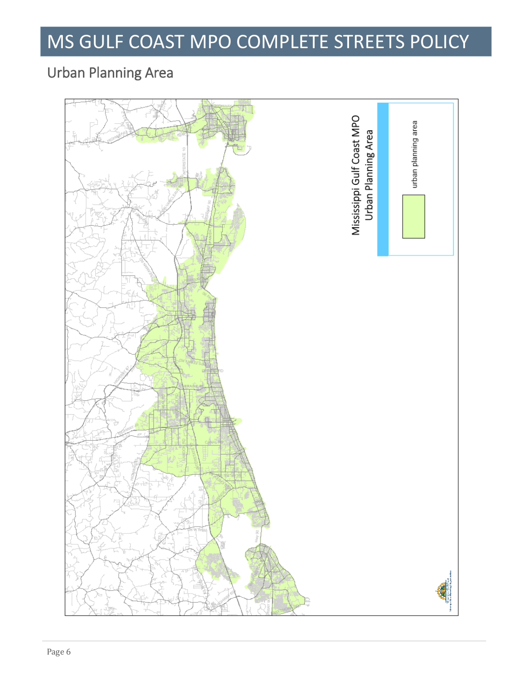## Urban Planning Area